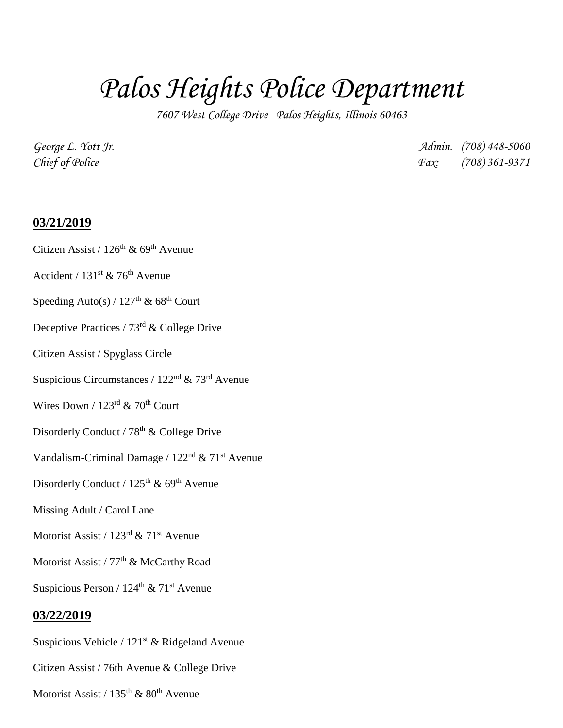# *Palos Heights Police Department*

*7607 West College Drive Palos Heights, Illinois 60463*

*George L. Yott Jr. Admin. (708) 448-5060 Chief of Police Fax: (708) 361-9371*

### **03/21/2019**

## Citizen Assist /  $126^{th}$  & 69<sup>th</sup> Avenue

- Accident /  $131^{st}$  & 76<sup>th</sup> Avenue
- Speeding Auto(s) /  $127<sup>th</sup>$  & 68<sup>th</sup> Court
- Deceptive Practices / 73rd & College Drive
- Citizen Assist / Spyglass Circle
- Suspicious Circumstances /  $122<sup>nd</sup>$  & 73<sup>rd</sup> Avenue
- Wires Down /  $123^{\text{rd}}$  & 70<sup>th</sup> Court
- Disorderly Conduct / 78<sup>th</sup> & College Drive
- Vandalism-Criminal Damage /  $122<sup>nd</sup>$  &  $71<sup>st</sup>$  Avenue
- Disorderly Conduct / 125<sup>th</sup> & 69<sup>th</sup> Avenue
- Missing Adult / Carol Lane
- Motorist Assist /  $123<sup>rd</sup>$  &  $71<sup>st</sup>$  Avenue
- Motorist Assist / 77<sup>th</sup> & McCarthy Road
- Suspicious Person /  $124<sup>th</sup>$  &  $71<sup>st</sup>$  Avenue

#### **03/22/2019**

- Suspicious Vehicle /  $121<sup>st</sup>$  & Ridgeland Avenue
- Citizen Assist / 76th Avenue & College Drive
- Motorist Assist /  $135<sup>th</sup>$  &  $80<sup>th</sup>$  Avenue